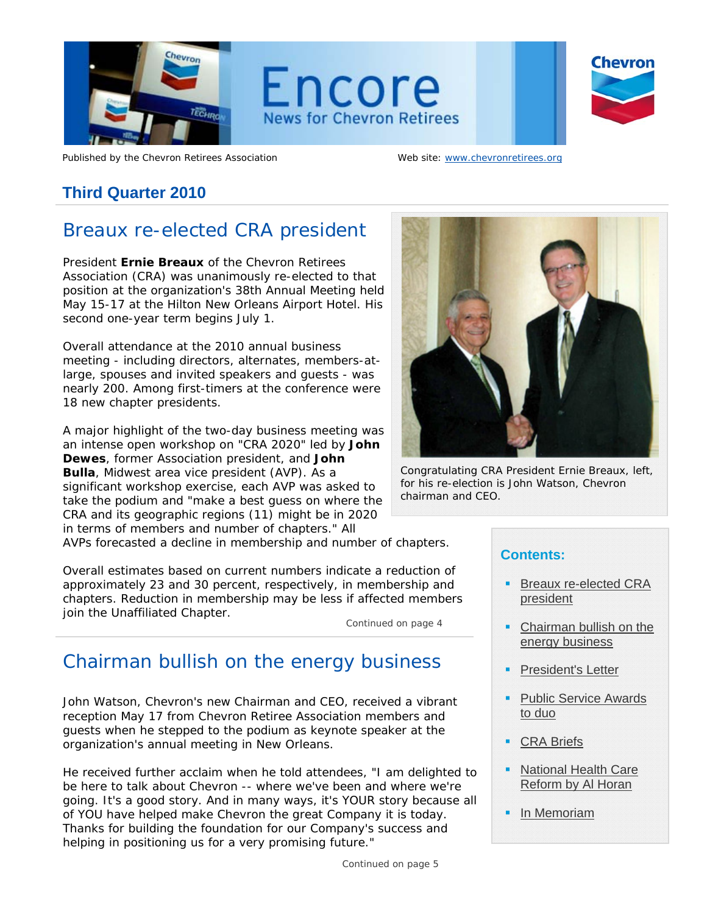

Published by the Chevron Retirees Association Web site: www.chevronretirees.org

# **Third Quarter 2010**

# Breaux re-elected CRA president

President **Ernie Breaux** of the Chevron Retirees Association (CRA) was unanimously re-elected to that position at the organization's 38th Annual Meeting held May 15-17 at the Hilton New Orleans Airport Hotel. His second one-year term begins July 1.

Overall attendance at the 2010 annual business meeting - including directors, alternates, members-atlarge, spouses and invited speakers and guests - was nearly 200. Among first-timers at the conference were 18 new chapter presidents.

A major highlight of the two-day business meeting was an intense open workshop on "CRA 2020" led by **John Dewes**, former Association president, and **John Bulla**, Midwest area vice president (AVP). As a significant workshop exercise, each AVP was asked to take the podium and "make a best guess on where the CRA and its geographic regions (11) might be in 2020 in terms of members and number of chapters." All

AVPs forecasted a decline in membership and number of chapters.

Overall estimates based on current numbers indicate a reduction of approximately 23 and 30 percent, respectively, in membership and chapters. Reduction in membership may be less if affected members join the Unaffiliated Chapter.

*Continued on page 4*

# Chairman bullish on the energy business

John Watson, Chevron's new Chairman and CEO, received a vibrant reception May 17 from Chevron Retiree Association members and guests when he stepped to the podium as keynote speaker at the organization's annual meeting in New Orleans.

He received further acclaim when he told attendees, "I am delighted to be here to talk about Chevron -- where we've been and where we're going. It's a good story. And in many ways, it's YOUR story because all of YOU have helped make Chevron the great Company it is today. Thanks for building the foundation for our Company's success and helping in positioning us for a very promising future."



*Congratulating CRA President Ernie Breaux, left, for his re-election is John Watson, Chevron chairman and CEO.* 

# **Contents:**

- Breaux re-elected CRA president
- Chairman bullish on the energy business
- President's Letter
- Public Service Awards to duo
- CRA Briefs
- National Health Care Reform by Al Horan
- In Memoriam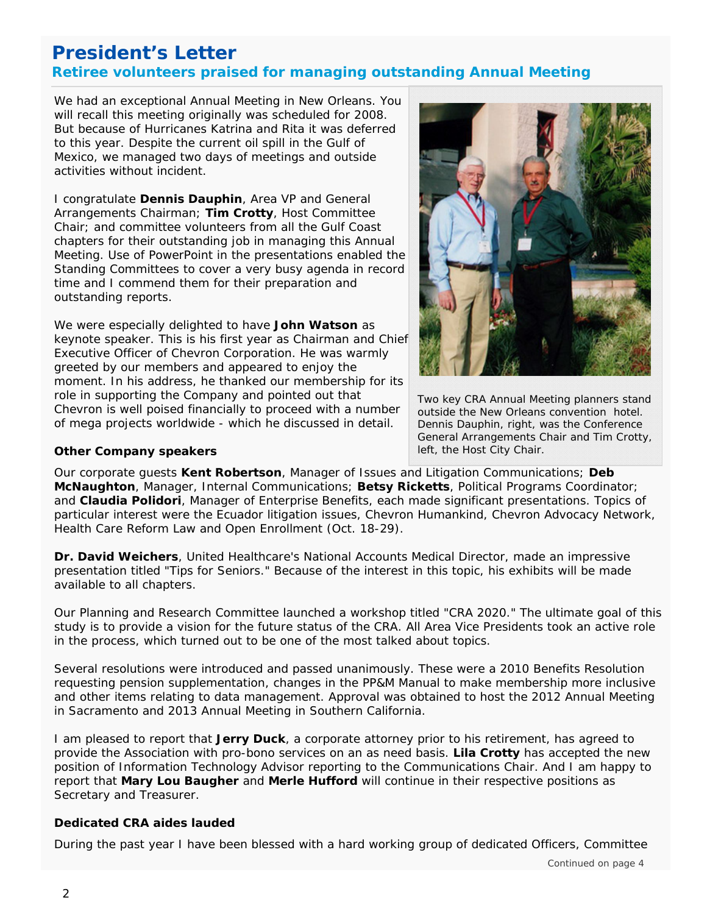# **President's Letter Retiree volunteers praised for managing outstanding Annual Meeting**

will recall this meeting originally was scheduled for 2008.<br>But bosause of Hurricanes Katrina and Pita it was deferred We had an exceptional Annual Meeting in New Orleans. You But because of Hurricanes Katrina and Rita it was deferred to this year. Despite the current oil spill in the Gulf of Mexico, we managed two days of meetings and outside activities without incident.

I congratulate **Dennis Dauphin**, Area VP and General Arrangements Chairman; **Tim Crotty**, Host Committee Chair; and committee volunteers from all the Gulf Coast chapters for their outstanding job in managing this Annual Meeting. Use of PowerPoint in the presentations enabled the Standing Committees to cover a very busy agenda in record time and I commend them for their preparation and outstanding reports.

We were especially delighted to have **John Watson** as keynote speaker. This is his first year as Chairman and Chief Executive Officer of Chevron Corporation. He was warmly greeted by our members and appeared to enjoy the moment. In his address, he thanked our membership for its role in supporting the Company and pointed out that Chevron is well poised financially to proceed with a number of mega projects worldwide - which he discussed in detail.



*Two key CRA Annual Meeting planners stand outside the New Orleans convention hotel. Dennis Dauphin, right, was the Conference General Arrangements Chair and Tim Crotty, left, the Host City Chair.* 

## **Other Company speakers**

Our corporate guests **Kent Robertson**, Manager of Issues and Litigation Communications; **Deb McNaughton**, Manager, Internal Communications; **Betsy Ricketts**, Political Programs Coordinator; and **Claudia Polidori**, Manager of Enterprise Benefits, each made significant presentations. Topics of particular interest were the Ecuador litigation issues, Chevron Humankind, Chevron Advocacy Network, Health Care Reform Law and Open Enrollment (Oct. 18-29).

**Dr. David Weichers**, United Healthcare's National Accounts Medical Director, made an impressive presentation titled "Tips for Seniors." Because of the interest in this topic, his exhibits will be made available to all chapters.

Our Planning and Research Committee launched a workshop titled "CRA 2020." The ultimate goal of this study is to provide a vision for the future status of the CRA. All Area Vice Presidents took an active role in the process, which turned out to be one of the most talked about topics.

Several resolutions were introduced and passed unanimously. These were a 2010 Benefits Resolution requesting pension supplementation, changes in the PP&M Manual to make membership more inclusive and other items relating to data management. Approval was obtained to host the 2012 Annual Meeting in Sacramento and 2013 Annual Meeting in Southern California.

 position of Information Technology Advisor reporting to the Communications Chair. And I am happy to I am pleased to report that **Jerry Duck**, a corporate attorney prior to his retirement, has agreed to provide the Association with pro-bono services on an as need basis. **Lila Crotty** has accepted the new report that **Mary Lou Baugher** and **Merle Hufford** will continue in their respective positions as Secretary and Treasurer.

## **Dedicated CRA aides lauded**

During the past year I have been blessed with a hard working group of dedicated Officers, Committee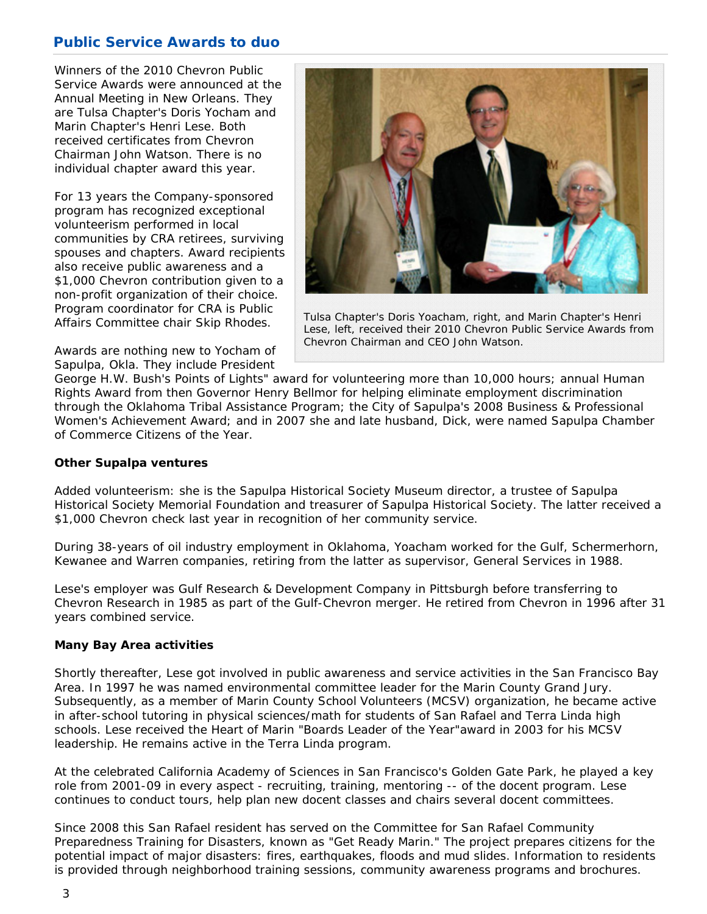# **Public Service Awards to duo**

 Marin Chapter's Henri Lese. Both Winners of the 2010 Chevron Public Service Awards were announced at the Annual Meeting in New Orleans. They are Tulsa Chapter's Doris Yocham and received certificates from Chevron Chairman John Watson. There is no individual chapter award this year.

For 13 years the Company-sponsored program has recognized exceptional volunteerism performed in local communities by CRA retirees, surviving spouses and chapters. Award recipients also receive public awareness and a \$1,000 Chevron contribution given to a non-profit organization of their choice. Program coordinator for CRA is Public Affairs Committee chair Skip Rhodes.

Awards are nothing new to Yocham of Sapulpa, Okla. They include President



*Tulsa Chapter's Doris Yoacham, right, and Marin Chapter's Henri Lese, left, received their 2010 Chevron Public Service Awards from Chevron Chairman and CEO John Watson.* 

George H.W. Bush's Points of Lights" award for volunteering more than 10,000 hours; annual Human Rights Award from then Governor Henry Bellmor for helping eliminate employment discrimination through the Oklahoma Tribal Assistance Program; the City of Sapulpa's 2008 Business & Professional Women's Achievement Award; and in 2007 she and late husband, Dick, were named Sapulpa Chamber of Commerce Citizens of the Year.

### **Other Supalpa ventures**

Added volunteerism: she is the Sapulpa Historical Society Museum director, a trustee of Sapulpa Historical Society Memorial Foundation and treasurer of Sapulpa Historical Society. The latter received a \$1,000 Chevron check last year in recognition of her community service.

During 38-years of oil industry employment in Oklahoma, Yoacham worked for the Gulf, Schermerhorn, Kewanee and Warren companies, retiring from the latter as supervisor, General Services in 1988.

Lese's employer was Gulf Research & Development Company in Pittsburgh before transferring to Chevron Research in 1985 as part of the Gulf-Chevron merger. He retired from Chevron in 1996 after 31 years combined service.

## **Many Bay Area activities**

Shortly thereafter, Lese got involved in public awareness and service activities in the San Francisco Bay Area. In 1997 he was named environmental committee leader for the Marin County Grand Jury. Subsequently, as a member of Marin County School Volunteers (MCSV) organization, he became active in after-school tutoring in physical sciences/math for students of San Rafael and Terra Linda high schools. Lese received the Heart of Marin "Boards Leader of the Year"award in 2003 for his MCSV leadership. He remains active in the Terra Linda program.

At the celebrated California Academy of Sciences in San Francisco's Golden Gate Park, he played a key role from 2001-09 in every aspect - recruiting, training, mentoring -- of the docent program. Lese continues to conduct tours, help plan new docent classes and chairs several docent committees.

Since 2008 this San Rafael resident has served on the Committee for San Rafael Community Preparedness Training for Disasters, known as "Get Ready Marin." The project prepares citizens for the potential impact of major disasters: fires, earthquakes, floods and mud slides. Information to residents is provided through neighborhood training sessions, community awareness programs and brochures.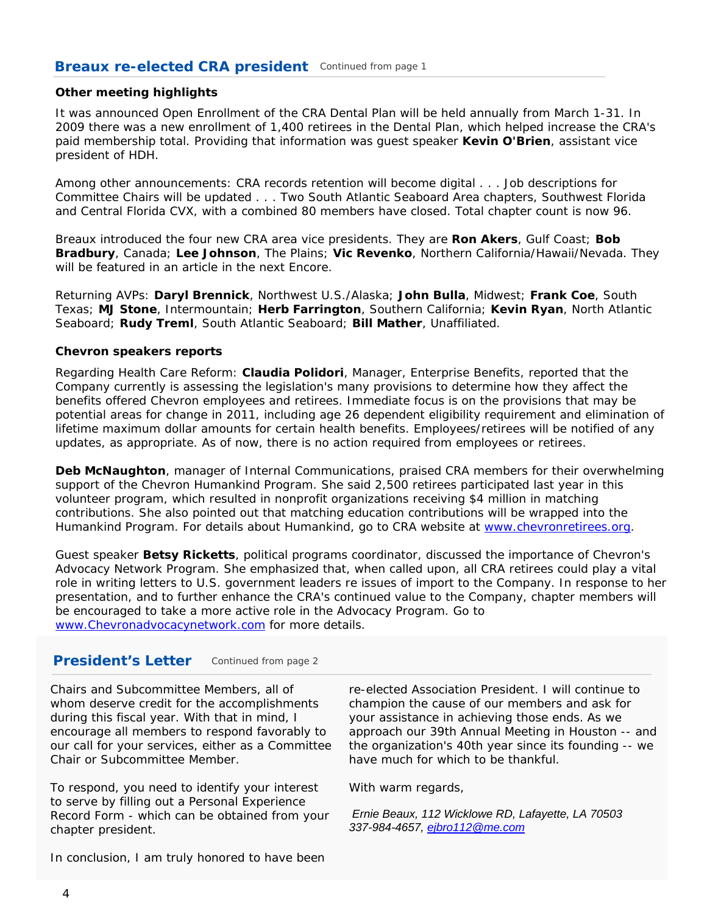## **Breaux re-elected CRA president** *Continued from page <sup>1</sup>*

#### **Other meeting highlights**

It was announced Open Enrollment of the CRA Dental Plan will be held annually from March 1-31. In 2009 there was a new enrollment of 1,400 retirees in the Dental Plan, which helped increase the CRA's paid membership total. Providing that information was guest speaker **Kevin O'Brien**, assistant vice president of HDH.

Among other announcements: CRA records retention will become digital . . . Job descriptions for Committee Chairs will be updated . . . Two South Atlantic Seaboard Area chapters, Southwest Florida and Central Florida CVX, with a combined 80 members have closed. Total chapter count is now 96.

Breaux introduced the four new CRA area vice presidents. They are **Ron Akers**, Gulf Coast; **Bob Bradbury**, Canada; **Lee Johnson**, The Plains; **Vic Revenko**, Northern California/Hawaii/Nevada. They will be featured in an article in the next Encore.

Returning AVPs: **Daryl Brennick**, Northwest U.S./Alaska; **John Bulla**, Midwest; **Frank Coe**, South Texas; **MJ Stone**, Intermountain; **Herb Farrington**, Southern California; **Kevin Ryan**, North Atlantic Seaboard; **Rudy Treml**, South Atlantic Seaboard; **Bill Mather**, Unaffiliated.

#### **Chevron speakers reports**

Regarding Health Care Reform: **Claudia Polidori**, Manager, Enterprise Benefits, reported that the Company currently is assessing the legislation's many provisions to determine how they affect the benefits offered Chevron employees and retirees. Immediate focus is on the provisions that may be potential areas for change in 2011, including age 26 dependent eligibility requirement and elimination of lifetime maximum dollar amounts for certain health benefits. Employees/retirees will be notified of any updates, as appropriate. As of now, there is no action required from employees or retirees.

**Deb McNaughton**, manager of Internal Communications, praised CRA members for their overwhelming support of the Chevron Humankind Program. She said 2,500 retirees participated last year in this volunteer program, which resulted in nonprofit organizations receiving \$4 million in matching contributions. She also pointed out that matching education contributions will be wrapped into the Humankind Program. For details about Humankind, go to CRA website at www.chevronretirees.org.

Guest speaker **Betsy Ricketts**, political programs coordinator, discussed the importance of Chevron's Advocacy Network Program. She emphasized that, when called upon, all CRA retirees could play a vital role in writing letters to U.S. government leaders re issues of import to the Company. In response to her presentation, and to further enhance the CRA's continued value to the Company, chapter members will be encouraged to take a more active role in the Advocacy Program. Go to www.Chevronadvocacynetwork.com for more details.

## **President's Letter** *Continued from page <sup>2</sup>*

Chairs and Subcommittee Members, all of whom deserve credit for the accomplishments during this fiscal year. With that in mind, I encourage all members to respond favorably to our call for your services, either as a Committee Chair or Subcommittee Member.

To respond, you need to identify your interest to serve by filling out a Personal Experience Record Form - which can be obtained from your chapter president.

re-elected Association President. I will continue to champion the cause of our members and ask for your assistance in achieving those ends. As we approach our 39th Annual Meeting in Houston -- and the organization's 40th year since its founding -- we have much for which to be thankful.

With warm regards,

 *Ernie Beaux, 112 Wicklowe RD, Lafayette, LA 70503 337-984-4657, ejbro112@me.com*

In conclusion, I am truly honored to have been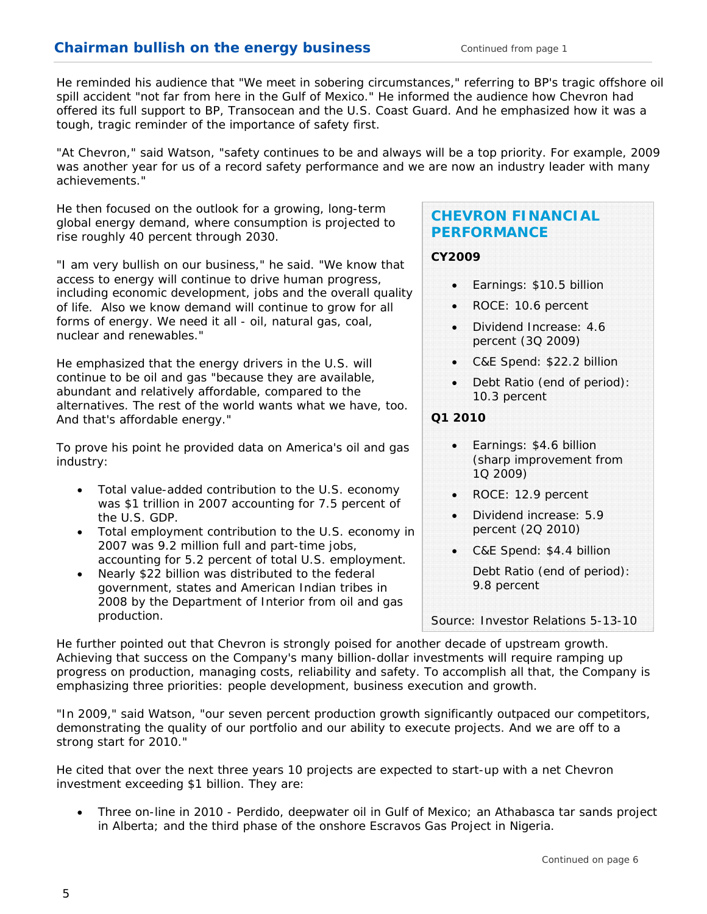spill accident "not far from here in the Gulf of Mexico." He informed the audience how Chevron had He reminded his audience that "We meet in sobering circumstances," referring to BP's tragic offshore oil offered its full support to BP, Transocean and the U.S. Coast Guard. And he emphasized how it was a tough, tragic reminder of the importance of safety first.

"At Chevron," said Watson, "safety continues to be and always will be a top priority. For example, 2009 was another year for us of a record safety performance and we are now an industry leader with many achievements."

He then focused on the outlook for a growing, long-term global energy demand, where consumption is projected to rise roughly 40 percent through 2030.

"I am very bullish on our business," he said. "We know that access to energy will continue to drive human progress, including economic development, jobs and the overall quality of life. Also we know demand will continue to grow for all forms of energy. We need it all - oil, natural gas, coal, nuclear and renewables."

He emphasized that the energy drivers in the U.S. will continue to be oil and gas "because they are available, abundant and relatively affordable, compared to the alternatives. The rest of the world wants what we have, too. And that's affordable energy."

To prove his point he provided data on America's oil and gas industry:

- Total value-added contribution to the U.S. economy was \$1 trillion in 2007 accounting for 7.5 percent of the U.S. GDP.
- Total employment contribution to the U.S. economy in 2007 was 9.2 million full and part-time jobs, accounting for 5.2 percent of total U.S. employment.
- Nearly \$22 billion was distributed to the federal government, states and American Indian tribes in 2008 by the Department of Interior from oil and gas production.

# **CHEVRON FINANCIAL PERFORMANCE**

## **CY2009**

- Earnings: \$10.5 billion
- ROCE: 10.6 percent
- Dividend Increase: 4.6 percent (3Q 2009)
- C&E Spend: \$22.2 billion
- Debt Ratio (end of period): 10.3 percent

## **Q1 2010**

- Earnings: \$4.6 billion (sharp improvement from 1Q 2009)
- ROCE: 12.9 percent
- Dividend increase: 5.9 percent (2Q 2010)
- C&E Spend: \$4.4 billion

Debt Ratio (end of period): 9.8 percent

*Source: Investor Relations 5-13-10*

He further pointed out that Chevron is strongly poised for another decade of upstream growth. Achieving that success on the Company's many billion-dollar investments will require ramping up progress on production, managing costs, reliability and safety. To accomplish all that, the Company is emphasizing three priorities: people development, business execution and growth.

"In 2009," said Watson, "our seven percent production growth significantly outpaced our competitors, demonstrating the quality of our portfolio and our ability to execute projects. And we are off to a strong start for 2010."

He cited that over the next three years 10 projects are expected to start-up with a net Chevron investment exceeding \$1 billion. They are:

 Three on-line in 2010 - Perdido, deepwater oil in Gulf of Mexico; an Athabasca tar sands project in Alberta; and the third phase of the onshore Escravos Gas Project in Nigeria.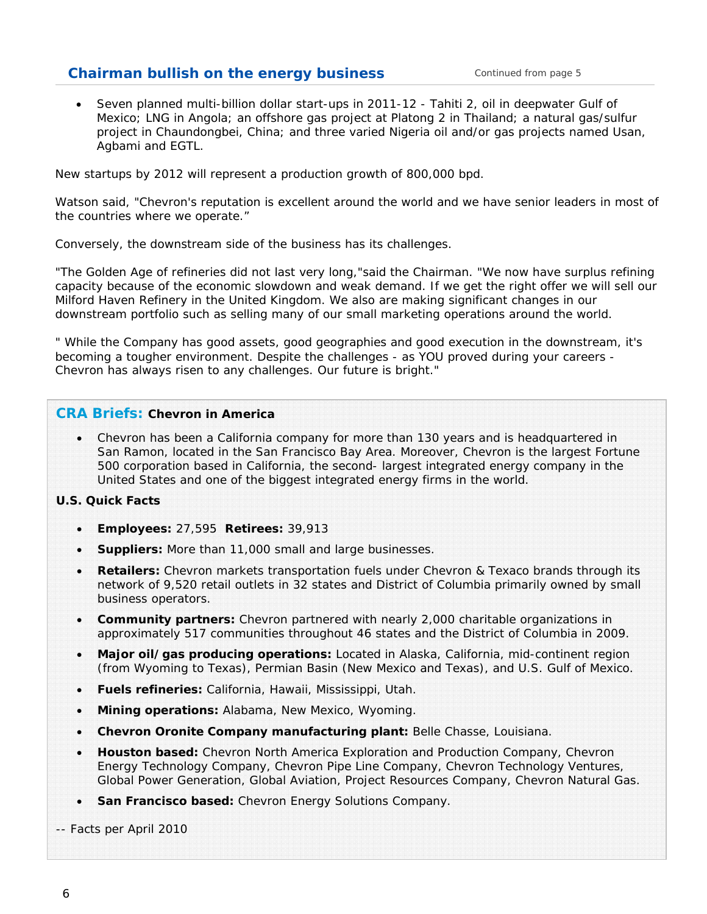# **Chairman bullish on the energy business** *Continued from page <sup>5</sup>*

 Seven planned multi-billion dollar start-ups in 2011-12 - Tahiti 2, oil in deepwater Gulf of Mexico; LNG in Angola; an offshore gas project at Platong 2 in Thailand; a natural gas/sulfur project in Chaundongbei, China; and three varied Nigeria oil and/or gas projects named Usan, Agbami and EGTL.

New startups by 2012 will represent a production growth of 800,000 bpd.

Watson said, "Chevron's reputation is excellent around the world and we have senior leaders in most of the countries where we operate."

Conversely, the downstream side of the business has its challenges.

"The Golden Age of refineries did not last very long,"said the Chairman. "We now have surplus refining capacity because of the economic slowdown and weak demand. If we get the right offer we will sell our Milford Haven Refinery in the United Kingdom. We also are making significant changes in our downstream portfolio such as selling many of our small marketing operations around the world.

" While the Company has good assets, good geographies and good execution in the downstream, it's becoming a tougher environment. Despite the challenges - as YOU proved during your careers - Chevron has always risen to any challenges. Our future is bright."

## **CRA Briefs: Chevron in America**

 Chevron has been a California company for more than 130 years and is headquartered in San Ramon, located in the San Francisco Bay Area. Moreover, Chevron is the largest Fortune 500 corporation based in California, the second- largest integrated energy company in the United States and one of the biggest integrated energy firms in the world.

#### **U.S. Quick Facts**

- **Employees:** 27,595 **Retirees:** 39,913
- **Suppliers:** More than 11,000 small and large businesses.
- **Retailers:** Chevron markets transportation fuels under Chevron & Texaco brands through its network of 9,520 retail outlets in 32 states and District of Columbia primarily owned by small business operators.
- **Community partners:** Chevron partnered with nearly 2,000 charitable organizations in approximately 517 communities throughout 46 states and the District of Columbia in 2009.
- **Major oil/gas producing operations:** Located in Alaska, California, mid-continent region (from Wyoming to Texas), Permian Basin (New Mexico and Texas), and U.S. Gulf of Mexico.
- **Fuels refineries:** California, Hawaii, Mississippi, Utah.
- **Mining operations:** Alabama, New Mexico, Wyoming.
- **Chevron Oronite Company manufacturing plant:** Belle Chasse, Louisiana.
- **Houston based:** Chevron North America Exploration and Production Company, Chevron Energy Technology Company, Chevron Pipe Line Company, Chevron Technology Ventures, Global Power Generation, Global Aviation, Project Resources Company, Chevron Natural Gas.
- **San Francisco based:** Chevron Energy Solutions Company.
- *-- Facts per April 2010*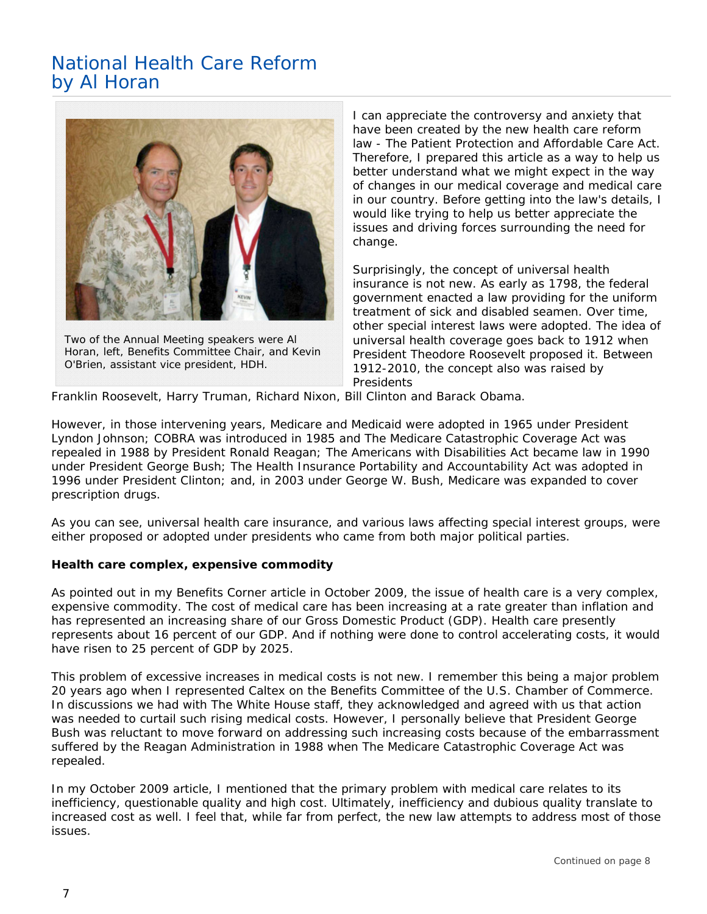# National Health Care Reform by Al Horan



*Two of the Annual Meeting speakers were Al Horan, left, Benefits Committee Chair, and Kevin O'Brien, assistant vice president, HDH.* 

I can appreciate the controversy and anxiety that have been created by the new health care reform law - The Patient Protection and Affordable Care Act. Therefore, I prepared this article as a way to help us better understand what we might expect in the way of changes in our medical coverage and medical care in our country. Before getting into the law's details, I would like trying to help us better appreciate the issues and driving forces surrounding the need for change.

Surprisingly, the concept of universal health insurance is not new. As early as 1798, the federal government enacted a law providing for the uniform treatment of sick and disabled seamen. Over time, other special interest laws were adopted. The idea of universal health coverage goes back to 1912 when President Theodore Roosevelt proposed it. Between 1912-2010, the concept also was raised by Presidents

Franklin Roosevelt, Harry Truman, Richard Nixon, Bill Clinton and Barack Obama.

However, in those intervening years, Medicare and Medicaid were adopted in 1965 under President Lyndon Johnson; COBRA was introduced in 1985 and The Medicare Catastrophic Coverage Act was repealed in 1988 by President Ronald Reagan; The Americans with Disabilities Act became law in 1990 under President George Bush; The Health Insurance Portability and Accountability Act was adopted in 1996 under President Clinton; and, in 2003 under George W. Bush, Medicare was expanded to cover prescription drugs.

As you can see, universal health care insurance, and various laws affecting special interest groups, were either proposed or adopted under presidents who came from both major political parties.

### **Health care complex, expensive commodity**

As pointed out in my Benefits Corner article in October 2009, the issue of health care is a very complex, expensive commodity. The cost of medical care has been increasing at a rate greater than inflation and has represented an increasing share of our Gross Domestic Product (GDP). Health care presently represents about 16 percent of our GDP. And if nothing were done to control accelerating costs, it would have risen to 25 percent of GDP by 2025.

This problem of excessive increases in medical costs is not new. I remember this being a major problem 20 years ago when I represented Caltex on the Benefits Committee of the U.S. Chamber of Commerce. In discussions we had with The White House staff, they acknowledged and agreed with us that action was needed to curtail such rising medical costs. However, I personally believe that President George Bush was reluctant to move forward on addressing such increasing costs because of the embarrassment suffered by the Reagan Administration in 1988 when The Medicare Catastrophic Coverage Act was repealed.

In my October 2009 article, I mentioned that the primary problem with medical care relates to its inefficiency, questionable quality and high cost. Ultimately, inefficiency and dubious quality translate to increased cost as well. I feel that, while far from perfect, the new law attempts to address most of those issues.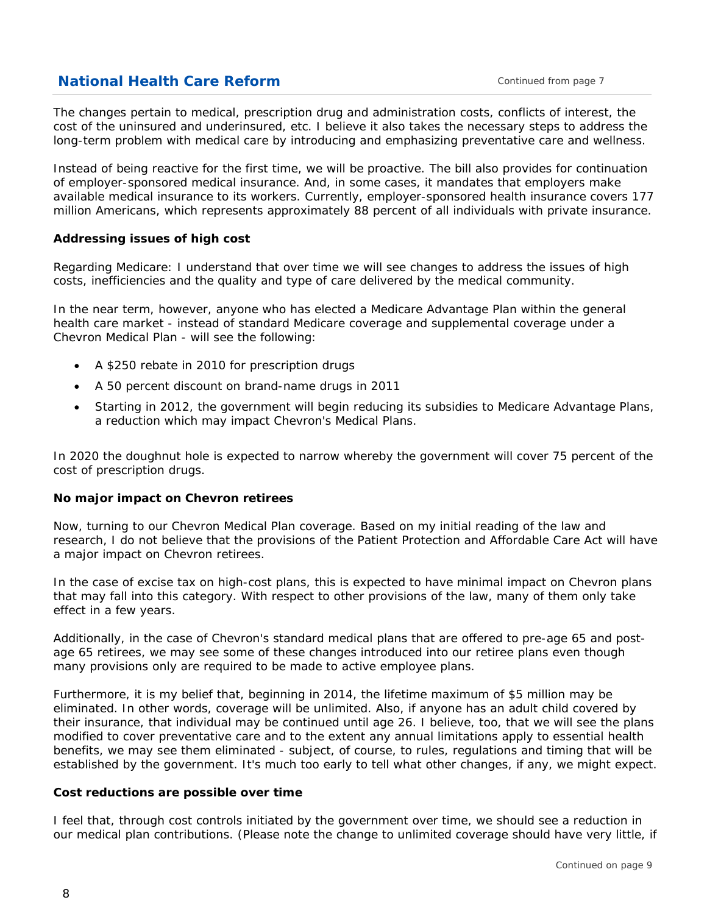# **National Health Care Reform** *Continued from page <sup>7</sup>*

The changes pertain to medical, prescription drug and administration costs, conflicts of interest, the cost of the uninsured and underinsured, etc. I believe it also takes the necessary steps to address the long-term problem with medical care by introducing and emphasizing preventative care and wellness.

Instead of being reactive for the first time, we will be proactive. The bill also provides for continuation of employer-sponsored medical insurance. And, in some cases, it mandates that employers make available medical insurance to its workers. Currently, employer-sponsored health insurance covers 177 million Americans, which represents approximately 88 percent of all individuals with private insurance.

### **Addressing issues of high cost**

Regarding Medicare: I understand that over time we will see changes to address the issues of high costs, inefficiencies and the quality and type of care delivered by the medical community.

In the near term, however, anyone who has elected a Medicare Advantage Plan within the general health care market - instead of standard Medicare coverage and supplemental coverage under a Chevron Medical Plan - will see the following:

- A \$250 rebate in 2010 for prescription drugs
- A 50 percent discount on brand-name drugs in 2011
- Starting in 2012, the government will begin reducing its subsidies to Medicare Advantage Plans, a reduction which may impact Chevron's Medical Plans.

In 2020 the doughnut hole is expected to narrow whereby the government will cover 75 percent of the cost of prescription drugs.

#### **No major impact on Chevron retirees**

Now, turning to our Chevron Medical Plan coverage. Based on my initial reading of the law and research, I do not believe that the provisions of the Patient Protection and Affordable Care Act will have a major impact on Chevron retirees.

In the case of excise tax on high-cost plans, this is expected to have minimal impact on Chevron plans that may fall into this category. With respect to other provisions of the law, many of them only take effect in a few years.

Additionally, in the case of Chevron's standard medical plans that are offered to pre-age 65 and postage 65 retirees, we may see some of these changes introduced into our retiree plans even though many provisions only are required to be made to active employee plans.

Furthermore, it is my belief that, beginning in 2014, the lifetime maximum of \$5 million may be eliminated. In other words, coverage will be unlimited. Also, if anyone has an adult child covered by their insurance, that individual may be continued until age 26. I believe, too, that we will see the plans modified to cover preventative care and to the extent any annual limitations apply to essential health benefits, we may see them eliminated - subject, of course, to rules, regulations and timing that will be established by the government. It's much too early to tell what other changes, if any, we might expect.

#### **Cost reductions are possible over time**

I feel that, through cost controls initiated by the government over time, we should see a reduction in our medical plan contributions. (Please note the change to unlimited coverage should have very little, if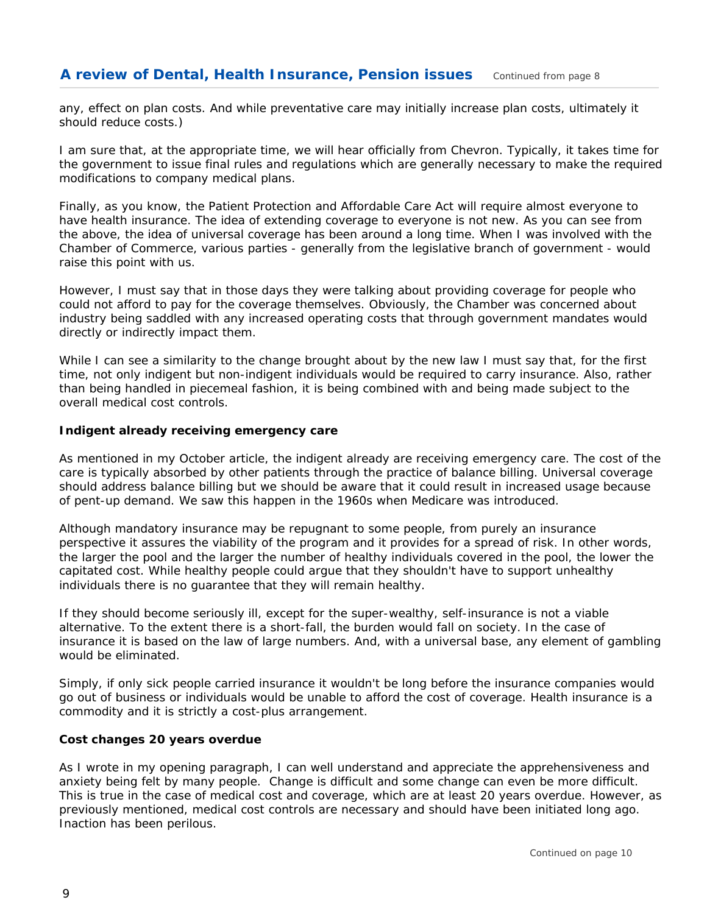any, effect on plan costs. And while preventative care may initially increase plan costs, ultimately it should reduce costs.)

I am sure that, at the appropriate time, we will hear officially from Chevron. Typically, it takes time for the government to issue final rules and regulations which are generally necessary to make the required modifications to company medical plans.

Finally, as you know, the Patient Protection and Affordable Care Act will require almost everyone to have health insurance. The idea of extending coverage to everyone is not new. As you can see from the above, the idea of universal coverage has been around a long time. When I was involved with the Chamber of Commerce, various parties - generally from the legislative branch of government - would raise this point with us.

However, I must say that in those days they were talking about providing coverage for people who could not afford to pay for the coverage themselves. Obviously, the Chamber was concerned about industry being saddled with any increased operating costs that through government mandates would directly or indirectly impact them.

While I can see a similarity to the change brought about by the new law I must say that, for the first time, not only indigent but non-indigent individuals would be required to carry insurance. Also, rather than being handled in piecemeal fashion, it is being combined with and being made subject to the overall medical cost controls.

## **Indigent already receiving emergency care**

As mentioned in my October article, the indigent already are receiving emergency care. The cost of the care is typically absorbed by other patients through the practice of balance billing. Universal coverage should address balance billing but we should be aware that it could result in increased usage because of pent-up demand. We saw this happen in the 1960s when Medicare was introduced.

Although mandatory insurance may be repugnant to some people, from purely an insurance perspective it assures the viability of the program and it provides for a spread of risk. In other words, the larger the pool and the larger the number of healthy individuals covered in the pool, the lower the capitated cost. While healthy people could argue that they shouldn't have to support unhealthy individuals there is no guarantee that they will remain healthy.

If they should become seriously ill, except for the super-wealthy, self-insurance is not a viable alternative. To the extent there is a short-fall, the burden would fall on society. In the case of insurance it is based on the law of large numbers. And, with a universal base, any element of gambling would be eliminated.

Simply, if only sick people carried insurance it wouldn't be long before the insurance companies would go out of business or individuals would be unable to afford the cost of coverage. Health insurance is a commodity and it is strictly a cost-plus arrangement.

#### **Cost changes 20 years overdue**

As I wrote in my opening paragraph, I can well understand and appreciate the apprehensiveness and anxiety being felt by many people. Change is difficult and some change can even be more difficult. This is true in the case of medical cost and coverage, which are at least 20 years overdue. However, as previously mentioned, medical cost controls are necessary and should have been initiated long ago. Inaction has been perilous.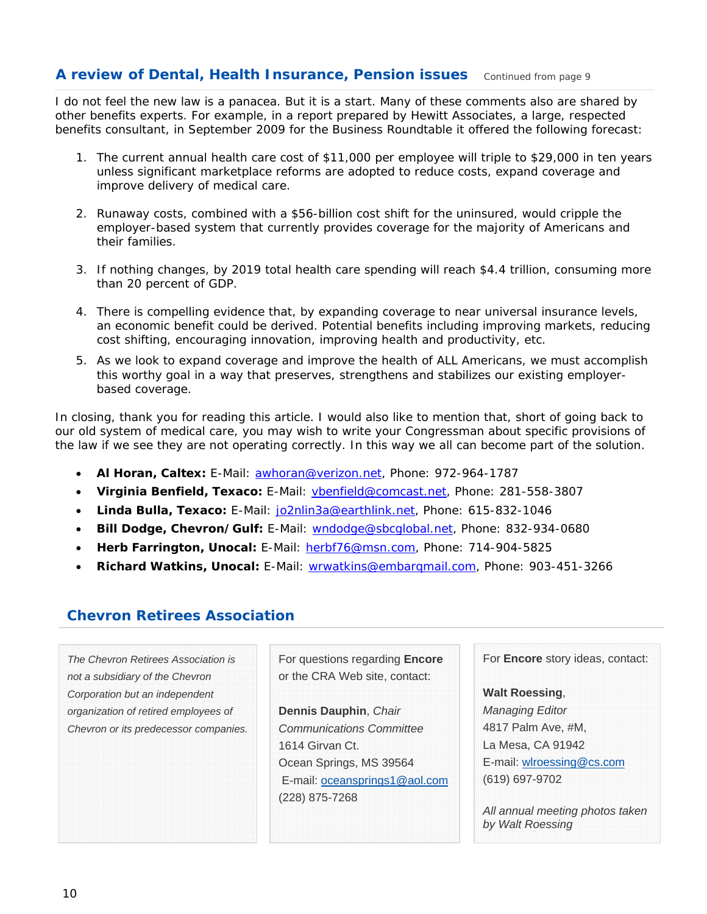## **A review of Dental, Health Insurance, Pension issues** *Continued from page <sup>9</sup>*

I do not feel the new law is a panacea. But it is a start. Many of these comments also are shared by other benefits experts. For example, in a report prepared by Hewitt Associates, a large, respected benefits consultant, in September 2009 for the Business Roundtable it offered the following forecast:

- 1. The current annual health care cost of \$11,000 per employee will triple to \$29,000 in ten years unless significant marketplace reforms are adopted to reduce costs, expand coverage and improve delivery of medical care.
- 2. Runaway costs, combined with a \$56-billion cost shift for the uninsured, would cripple the employer-based system that currently provides coverage for the majority of Americans and their families.
- 3. If nothing changes, by 2019 total health care spending will reach \$4.4 trillion, consuming more than 20 percent of GDP.
- 4. There is compelling evidence that, by expanding coverage to near universal insurance levels, an economic benefit could be derived. Potential benefits including improving markets, reducing cost shifting, encouraging innovation, improving health and productivity, etc.
- 5. As we look to expand coverage and improve the health of ALL Americans, we must accomplish this worthy goal in a way that preserves, strengthens and stabilizes our existing employerbased coverage.

In closing, thank you for reading this article. I would also like to mention that, short of going back to our old system of medical care, you may wish to write your Congressman about specific provisions of the law if we see they are not operating correctly. In this way we all can become part of the solution.

- **Al Horan, Caltex:** E-Mail: awhoran@verizon.net, Phone: 972-964-1787
- **Virginia Benfield, Texaco:** E-Mail: vbenfield@comcast.net, Phone: 281-558-3807
- **Linda Bulla, Texaco:** E-Mail: jo2nlin3a@earthlink.net, Phone: 615-832-1046
- **Bill Dodge, Chevron/Gulf:** E-Mail: wndodge@sbcglobal.net, Phone: 832-934-0680
- **Herb Farrington, Unocal:** E-Mail: herbf76@msn.com, Phone: 714-904-5825
- **Richard Watkins, Unocal:** E-Mail: wrwatkins@embarqmail.com, Phone: 903-451-3266

## **Chevron Retirees Association**

*The Chevron Retirees Association is not a subsidiary of the Chevron Corporation but an independent organization of retired employees of Chevron or its predecessor companies.*  For questions regarding **Encore** or the CRA Web site, contact:

**Dennis Dauphin**, *Chair Communications Committee*  1614 Girvan Ct. Ocean Springs, MS 39564 E-mail: oceansprings1@aol.com (228) 875-7268

For **Encore** story ideas, contact:

### **Walt Roessing**,

*Managing Editor*  4817 Palm Ave, #M, La Mesa, CA 91942 E-mail: wlroessing@cs.com (619) 697-9702

*All annual meeting photos taken by Walt Roessing*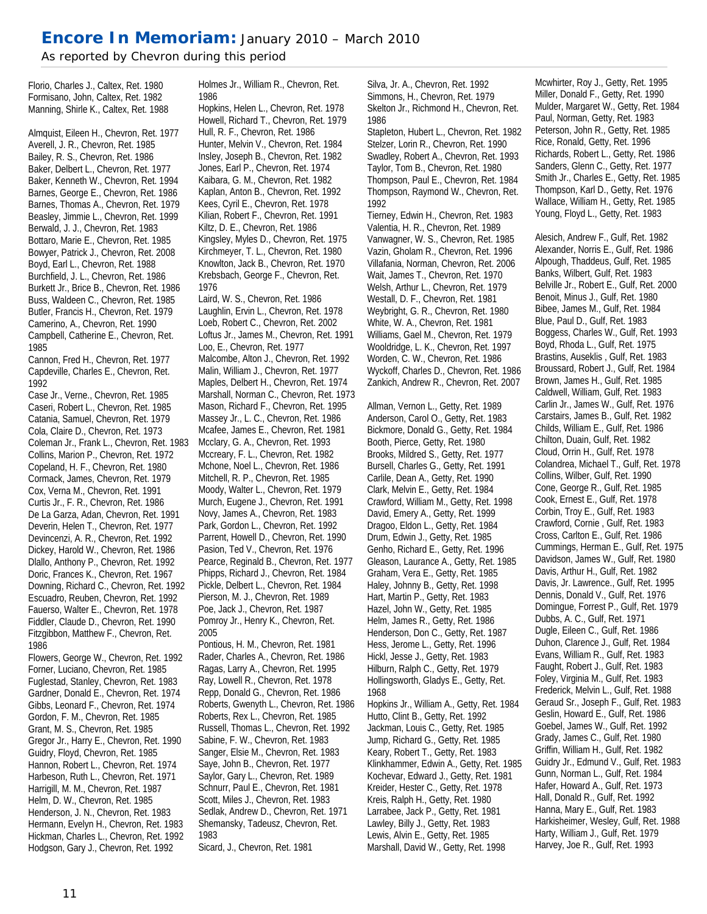# **Encore In Memoriam:** January 2010 – March 2010

*As reported by Chevron during this period* 

Florio, Charles J., Caltex, Ret. 1980 Formisano, John, Caltex, Ret. 1982 Manning, Shirle K., Caltex, Ret. 1988

Almquist, Eileen H., Chevron, Ret. 1977 Averell, J. R., Chevron, Ret. 1985 Bailey, R. S., Chevron, Ret. 1986 Baker, Delbert L., Chevron, Ret. 1977 Baker, Kenneth W., Chevron, Ret. 1994 Barnes, George E., Chevron, Ret. 1986 Barnes, Thomas A., Chevron, Ret. 1979 Beasley, Jimmie L., Chevron, Ret. 1999 Berwald, J. J., Chevron, Ret. 1983 Bottaro, Marie E., Chevron, Ret. 1985 Bowyer, Patrick J., Chevron, Ret. 2008 Boyd, Earl L., Chevron, Ret. 1988 Burchfield, J. L., Chevron, Ret. 1986 Burkett Jr., Brice B., Chevron, Ret. 1986 Buss, Waldeen C., Chevron, Ret. 1985 Butler, Francis H., Chevron, Ret. 1979 Camerino, A., Chevron, Ret. 1990 Campbell, Catherine E., Chevron, Ret. 1985

Cannon, Fred H., Chevron, Ret. 1977 Capdeville, Charles E., Chevron, Ret. 1992

Case Jr., Verne., Chevron, Ret. 1985 Caseri, Robert L., Chevron, Ret. 1985 Catania, Samuel, Chevron, Ret. 1979 Cola, Claire D., Chevron, Ret. 1973 Coleman Jr., Frank L., Chevron, Ret. 1983 Collins, Marion P., Chevron, Ret. 1972 Copeland, H. F., Chevron, Ret. 1980 Cormack, James, Chevron, Ret. 1979 Cox, Verna M., Chevron, Ret. 1991 Curtis Jr., F. R., Chevron, Ret. 1986 De La Garza, Adan, Chevron, Ret. 1991 Deverin, Helen T., Chevron, Ret. 1977 Devincenzi, A. R., Chevron, Ret. 1992 Dickey, Harold W., Chevron, Ret. 1986 Dlallo, Anthony P., Chevron, Ret. 1992 Doric, Frances K., Chevron, Ret. 1967 Downing, Richard C., Chevron, Ret. 1992 Escuadro, Reuben, Chevron, Ret. 1992 Fauerso, Walter E., Chevron, Ret. 1978 Fiddler, Claude D., Chevron, Ret. 1990 Fitzgibbon, Matthew F., Chevron, Ret. 1986

Flowers, George W., Chevron, Ret. 1992 Forner, Luciano, Chevron, Ret. 1985 Fuglestad, Stanley, Chevron, Ret. 1983 Gardner, Donald E., Chevron, Ret. 1974 Gibbs, Leonard F., Chevron, Ret. 1974 Gordon, F. M., Chevron, Ret. 1985 Grant, M. S., Chevron, Ret. 1985 Gregor Jr., Harry E., Chevron, Ret. 1990 Guidry, Floyd, Chevron, Ret. 1985 Hannon, Robert L., Chevron, Ret. 1974 Harbeson, Ruth L., Chevron, Ret. 1971 Harrigill, M. M., Chevron, Ret. 1987 Helm, D. W., Chevron, Ret. 1985 Henderson, J. N., Chevron, Ret. 1983 Hermann, Evelyn H., Chevron, Ret. 1983 Hickman, Charles L., Chevron, Ret. 1992 Hodgson, Gary J., Chevron, Ret. 1992

Holmes Jr., William R., Chevron, Ret. 1986

Hopkins, Helen L., Chevron, Ret. 1978 Howell, Richard T., Chevron, Ret. 1979 Hull, R. F., Chevron, Ret. 1986 Hunter, Melvin V., Chevron, Ret. 1984 Insley, Joseph B., Chevron, Ret. 1982 Jones, Earl P., Chevron, Ret. 1974 Kaibara, G. M., Chevron, Ret. 1982 Kaplan, Anton B., Chevron, Ret. 1992 Kees, Cyril E., Chevron, Ret. 1978 Kilian, Robert F., Chevron, Ret. 1991 Kiltz, D. E., Chevron, Ret. 1986 Kingsley, Myles D., Chevron, Ret. 1975 Kirchmeyer, T. L., Chevron, Ret. 1980 Knowlton, Jack B., Chevron, Ret. 1970 Krebsbach, George F., Chevron, Ret. 1976

Laird, W. S., Chevron, Ret. 1986 Laughlin, Ervin L., Chevron, Ret. 1978 Loeb, Robert C., Chevron, Ret. 2002 Loftus Jr., James M., Chevron, Ret. 1991 Loo, E., Chevron, Ret. 1977 Malcombe, Alton J., Chevron, Ret. 1992 Malin, William J., Chevron, Ret. 1977 Maples, Delbert H., Chevron, Ret. 1974 Marshall, Norman C., Chevron, Ret. 1973 Mason, Richard F., Chevron, Ret. 1995 Massey Jr., L. C., Chevron, Ret. 1986 Mcafee, James E., Chevron, Ret. 1981 Mcclary, G. A., Chevron, Ret. 1993 Mccreary, F. L., Chevron, Ret. 1982 Mchone, Noel L., Chevron, Ret. 1986 Mitchell, R. P., Chevron, Ret. 1985 Moody, Walter L., Chevron, Ret. 1979 Murch, Eugene J., Chevron, Ret. 1991 Novy, James A., Chevron, Ret. 1983 Park, Gordon L., Chevron, Ret. 1992 Parrent, Howell D., Chevron, Ret. 1990 Pasion, Ted V., Chevron, Ret. 1976 Pearce, Reginald B., Chevron, Ret. 1977 Phipps, Richard J., Chevron, Ret. 1984 Pickle, Delbert L., Chevron, Ret. 1984 Pierson, M. J., Chevron, Ret. 1989 Poe, Jack J., Chevron, Ret. 1987 Pomroy Jr., Henry K., Chevron, Ret. 2005

Pontious, H. M., Chevron, Ret. 1981 Rader, Charles A., Chevron, Ret. 1986 Ragas, Larry A., Chevron, Ret. 1995 Ray, Lowell R., Chevron, Ret. 1978 Repp, Donald G., Chevron, Ret. 1986 Roberts, Gwenyth L., Chevron, Ret. 1986 Roberts, Rex L., Chevron, Ret. 1985 Russell, Thomas L., Chevron, Ret. 1992 Sabine, F. W., Chevron, Ret. 1983 Sanger, Elsie M., Chevron, Ret. 1983 Saye, John B., Chevron, Ret. 1977 Saylor, Gary L., Chevron, Ret. 1989 Schnurr, Paul E., Chevron, Ret. 1981 Scott, Miles J., Chevron, Ret. 1983 Sedlak, Andrew D., Chevron, Ret. 1971 Shemansky, Tadeusz, Chevron, Ret. 1983 Sicard, J., Chevron, Ret. 1981

Silva, Jr. A., Chevron, Ret. 1992 Simmons, H., Chevron, Ret. 1979 Skelton Jr., Richmond H., Chevron, Ret. 1986

Stapleton, Hubert L., Chevron, Ret. 1982 Stelzer, Lorin R., Chevron, Ret. 1990 Swadley, Robert A., Chevron, Ret. 1993 Taylor, Tom B., Chevron, Ret. 1980 Thompson, Paul E., Chevron, Ret. 1984 Thompson, Raymond W., Chevron, Ret. 1992

Tierney, Edwin H., Chevron, Ret. 1983 Valentia, H. R., Chevron, Ret. 1989 Vanwagner, W. S., Chevron, Ret. 1985 Vazin, Gholam R., Chevron, Ret. 1996 Villafania, Norman, Chevron, Ret. 2006 Wait, James T., Chevron, Ret. 1970 Welsh, Arthur L., Chevron, Ret. 1979 Westall, D. F., Chevron, Ret. 1981 Weybright, G. R., Chevron, Ret. 1980 White, W. A., Chevron, Ret. 1981 Williams, Gael M., Chevron, Ret. 1979 Wooldridge, L. K., Chevron, Ret. 1997 Worden, C. W., Chevron, Ret. 1986 Wyckoff, Charles D., Chevron, Ret. 1986 Zankich, Andrew R., Chevron, Ret. 2007

Allman, Vernon L., Getty, Ret. 1989 Anderson, Carol O., Getty, Ret. 1983 Bickmore, Donald G., Getty, Ret. 1984 Booth, Pierce, Getty, Ret. 1980 Brooks, Mildred S., Getty, Ret. 1977 Bursell, Charles G., Getty, Ret. 1991 Carlile, Dean A., Getty, Ret. 1990 Clark, Melvin E., Getty, Ret. 1984 Crawford, William M., Getty, Ret. 1998 David, Emery A., Getty, Ret. 1999 Dragoo, Eldon L., Getty, Ret. 1984 Drum, Edwin J., Getty, Ret. 1985 Genho, Richard E., Getty, Ret. 1996 Gleason, Laurance A., Getty, Ret. 1985 Graham, Vera E., Getty, Ret. 1985 Haley, Johnny B., Getty, Ret. 1998 Hart, Martin P., Getty, Ret. 1983 Hazel, John W., Getty, Ret. 1985 Helm, James R., Getty, Ret. 1986 Henderson, Don C., Getty, Ret. 1987 Hess, Jerome L., Getty, Ret. 1996 Hickl, Jesse J., Getty, Ret. 1983 Hilburn, Ralph C., Getty, Ret. 1979 Hollingsworth, Gladys E., Getty, Ret. 1968

Hopkins Jr., William A., Getty, Ret. 1984 Hutto, Clint B., Getty, Ret. 1992 Jackman, Louis C., Getty, Ret. 1985 Jump, Richard G., Getty, Ret. 1985 Keary, Robert T., Getty, Ret. 1983 Klinkhammer, Edwin A., Getty, Ret. 1985 Kochevar, Edward J., Getty, Ret. 1981 Kreider, Hester C., Getty, Ret. 1978 Kreis, Ralph H., Getty, Ret. 1980 Larrabee, Jack P., Getty, Ret. 1981 Lawley, Billy J., Getty, Ret. 1983 Lewis, Alvin E., Getty, Ret. 1985 Marshall, David W., Getty, Ret. 1998

Mcwhirter, Roy J., Getty, Ret. 1995 Miller, Donald F., Getty, Ret. 1990 Mulder, Margaret W., Getty, Ret. 1984 Paul, Norman, Getty, Ret. 1983 Peterson, John R., Getty, Ret. 1985 Rice, Ronald, Getty, Ret. 1996 Richards, Robert L., Getty, Ret. 1986 Sanders, Glenn C., Getty, Ret. 1977 Smith Jr., Charles E., Getty, Ret. 1985 Thompson, Karl D., Getty, Ret. 1976 Wallace, William H., Getty, Ret. 1985 Young, Floyd L., Getty, Ret. 1983

Alesich, Andrew F., Gulf, Ret. 1982 Alexander, Norris E., Gulf, Ret. 1986 Alpough, Thaddeus, Gulf, Ret. 1985 Banks, Wilbert, Gulf, Ret. 1983 Belville Jr., Robert E., Gulf, Ret. 2000 Benoit, Minus J., Gulf, Ret. 1980 Bibee, James M., Gulf, Ret. 1984 Blue, Paul D., Gulf, Ret. 1983 Boggess, Charles W., Gulf, Ret. 1993 Boyd, Rhoda L., Gulf, Ret. 1975 Brastins, Auseklis , Gulf, Ret. 1983 Broussard, Robert J., Gulf, Ret. 1984 Brown, James H., Gulf, Ret. 1985 Caldwell, William, Gulf, Ret. 1983 Carlin Jr., James W., Gulf, Ret. 1976 Carstairs, James B., Gulf, Ret. 1982 Childs, William E., Gulf, Ret. 1986 Chilton, Duain, Gulf, Ret. 1982 Cloud, Orrin H., Gulf, Ret. 1978 Colandrea, Michael T., Gulf, Ret. 1978 Collins, Wilber, Gulf, Ret. 1990 Cone, George R., Gulf, Ret. 1985 Cook, Ernest E., Gulf, Ret. 1978 Corbin, Troy E., Gulf, Ret. 1983 Crawford, Cornie , Gulf, Ret. 1983 Cross, Carlton E., Gulf, Ret. 1986 Cummings, Herman E., Gulf, Ret. 1975 Davidson, James W., Gulf, Ret. 1980 Davis, Arthur H., Gulf, Ret. 1982 Davis, Jr. Lawrence., Gulf, Ret. 1995 Dennis, Donald V., Gulf, Ret. 1976 Domingue, Forrest P., Gulf, Ret. 1979 Dubbs, A. C., Gulf, Ret. 1971 Dugle, Eileen C., Gulf, Ret. 1986 Duhon, Clarence J., Gulf, Ret. 1984 Evans, William R., Gulf, Ret. 1983 Faught, Robert J., Gulf, Ret. 1983 Foley, Virginia M., Gulf, Ret. 1983 Frederick, Melvin L., Gulf, Ret. 1988 Geraud Sr., Joseph F., Gulf, Ret. 1983 Geslin, Howard E., Gulf, Ret. 1986 Goebel, James W., Gulf, Ret. 1992 Grady, James C., Gulf, Ret. 1980 Griffin, William H., Gulf, Ret. 1982 Guidry Jr., Edmund V., Gulf, Ret. 1983 Gunn, Norman L., Gulf, Ret. 1984 Hafer, Howard A., Gulf, Ret. 1973 Hall, Donald R., Gulf, Ret. 1992 Hanna, Mary E., Gulf, Ret. 1983 Harkisheimer, Wesley, Gulf, Ret. 1988 Harty, William J., Gulf, Ret. 1979 Harvey, Joe R., Gulf, Ret. 1993